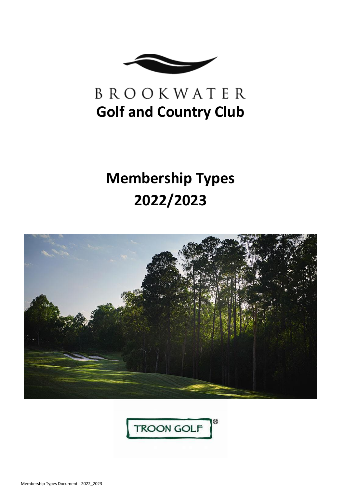

# BROOKWATER **Golf and Country Club**

# **Membership Types 2022/2023**



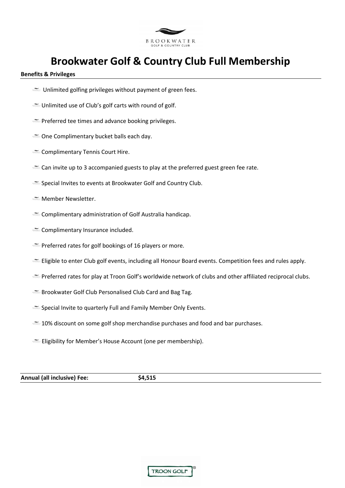

# **Brookwater Golf & Country Club Full Membership**

# **Benefits & Privileges**

- $\equiv$  Unlimited golfing privileges without payment of green fees.
- Unlimited use of Club's golf carts with round of golf.
- **Preferred tee times and advance booking privileges.**
- One Complimentary bucket balls each day.
- Complimentary Tennis Court Hire.
- E Can invite up to 3 accompanied guests to play at the preferred guest green fee rate.
- Special Invites to events at Brookwater Golf and Country Club.
- **Member Newsletter.**
- Complimentary administration of Golf Australia handicap.
- Complimentary Insurance included.
- Preferred rates for golf bookings of 16 players or more.
- Eligible to enter Club golf events, including all Honour Board events. Competition fees and rules apply.
- Preferred rates for play at Troon Golf's worldwide network of clubs and other affiliated reciprocal clubs.
- Brookwater Golf Club Personalised Club Card and Bag Tag.
- Special Invite to quarterly Full and Family Member Only Events.
- $\cong$  10% discount on some golf shop merchandise purchases and food and bar purchases.
- Eligibility for Member's House Account (one per membership).

# **Annual (all inclusive) Fee: \$4,515**

| <b>TROON GOLF</b> |
|-------------------|
|                   |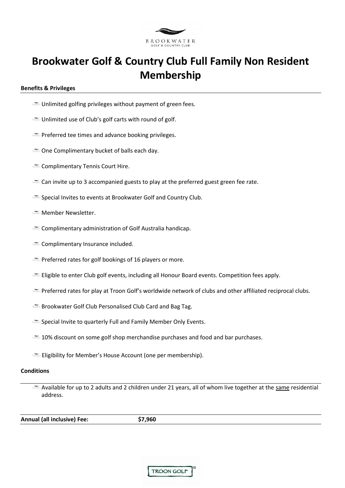

# **Brookwater Golf & Country Club Full Family Non Resident Membership**

### **Benefits & Privileges**

- Unlimited golfing privileges without payment of green fees.
- Unlimited use of Club's golf carts with round of golf.
- **Preferred tee times and advance booking privileges.**
- One Complimentary bucket of balls each day.
- Complimentary Tennis Court Hire.
- Can invite up to 3 accompanied guests to play at the preferred guest green fee rate.
- Special Invites to events at Brookwater Golf and Country Club.
- **Member Newsletter.**
- Complimentary administration of Golf Australia handicap.
- Complimentary Insurance included.
- Freferred rates for golf bookings of 16 players or more.
- Eligible to enter Club golf events, including all Honour Board events. Competition fees apply.
- Preferred rates for play at Troon Golf's worldwide network of clubs and other affiliated reciprocal clubs.
- Brookwater Golf Club Personalised Club Card and Bag Tag.
- Special Invite to quarterly Full and Family Member Only Events.
- $\approx$  10% discount on some golf shop merchandise purchases and food and bar purchases.
- Eligibility for Member's House Account (one per membership).

### **Conditions**

Available for up to 2 adults and 2 children under 21 years, all of whom live together at the same residential address.

**Annual (all inclusive) Fee: \$7,960** 

**TROON GOLF**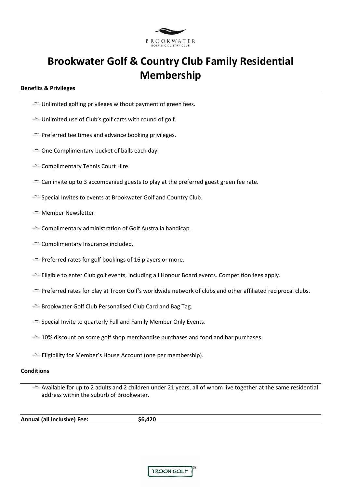

# **Brookwater Golf & Country Club Family Residential Membership**

### **Benefits & Privileges**

- Unlimited golfing privileges without payment of green fees.
- Unlimited use of Club's golf carts with round of golf.
- **Preferred tee times and advance booking privileges.**
- One Complimentary bucket of balls each day.
- Complimentary Tennis Court Hire.
- Can invite up to 3 accompanied guests to play at the preferred guest green fee rate.
- Special Invites to events at Brookwater Golf and Country Club.
- **Member Newsletter.**
- Complimentary administration of Golf Australia handicap.
- Complimentary Insurance included.
- Freferred rates for golf bookings of 16 players or more.
- Eligible to enter Club golf events, including all Honour Board events. Competition fees apply.
- Preferred rates for play at Troon Golf's worldwide network of clubs and other affiliated reciprocal clubs.
- Brookwater Golf Club Personalised Club Card and Bag Tag.
- Special Invite to quarterly Full and Family Member Only Events.
- $\approx$  10% discount on some golf shop merchandise purchases and food and bar purchases.
- Eligibility for Member's House Account (one per membership).

### **Conditions**

Available for up to 2 adults and 2 children under 21 years, all of whom live together at the same residential address within the suburb of Brookwater.

**Annual (all inclusive) Fee: \$6,420** 

**TROON GOLF**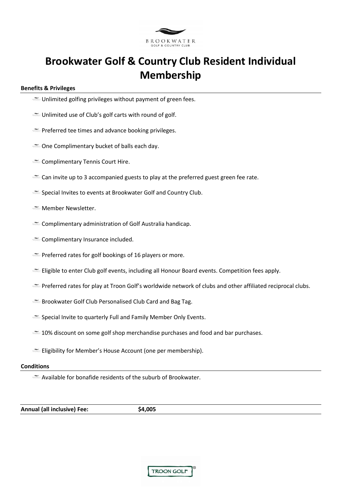

# **Brookwater Golf & Country Club Resident Individual Membership**

### **Benefits & Privileges**

- $\cong$  Unlimited golfing privileges without payment of green fees.
- Unlimited use of Club's golf carts with round of golf.
- Preferred tee times and advance booking privileges.
- One Complimentary bucket of balls each day.
- Complimentary Tennis Court Hire.
- Can invite up to 3 accompanied guests to play at the preferred guest green fee rate.
- Special Invites to events at Brookwater Golf and Country Club.
- **Member Newsletter.**
- Complimentary administration of Golf Australia handicap.
- Complimentary Insurance included.
- **Preferred rates for golf bookings of 16 players or more.**
- Eligible to enter Club golf events, including all Honour Board events. Competition fees apply.
- Preferred rates for play at Troon Golf's worldwide network of clubs and other affiliated reciprocal clubs.
- Brookwater Golf Club Personalised Club Card and Bag Tag.
- Special Invite to quarterly Full and Family Member Only Events.
- $\approx$  10% discount on some golf shop merchandise purchases and food and bar purchases.
- Eligibility for Member's House Account (one per membership).

### **Conditions**

Available for bonafide residents of the suburb of Brookwater.

**Annual (all inclusive) Fee: \$4,005** 

| TROON GOLF |
|------------|
|------------|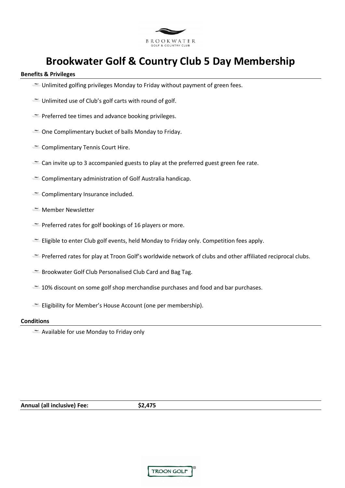

# **Brookwater Golf & Country Club 5 Day Membership**

### **Benefits & Privileges**

- Unlimited golfing privileges Monday to Friday without payment of green fees.
- Unlimited use of Club's golf carts with round of golf.
- Freferred tee times and advance booking privileges.
- One Complimentary bucket of balls Monday to Friday.
- Complimentary Tennis Court Hire.
- E Can invite up to 3 accompanied guests to play at the preferred guest green fee rate.
- Complimentary administration of Golf Australia handicap.
- Complimentary Insurance included.
- **Member Newsletter**
- Preferred rates for golf bookings of 16 players or more.
- Eligible to enter Club golf events, held Monday to Friday only. Competition fees apply.
- Preferred rates for play at Troon Golf's worldwide network of clubs and other affiliated reciprocal clubs.
- Brookwater Golf Club Personalised Club Card and Bag Tag.
- 10% discount on some golf shop merchandise purchases and food and bar purchases.
- Eligibility for Member's House Account (one per membership).

### **Conditions**

Available for use Monday to Friday only

**Annual (all inclusive) Fee: \$2,475** 

|  | <b>TROON GOLF</b> |  |
|--|-------------------|--|
|--|-------------------|--|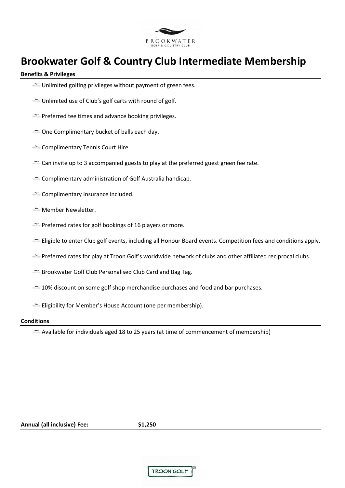

# **Brookwater Golf & Country Club Intermediate Membership**

### **Benefits & Privileges**

- Unlimited golfing privileges without payment of green fees.
- Unlimited use of Club's golf carts with round of golf.
- Freferred tee times and advance booking privileges.
- One Complimentary bucket of balls each day.
- Complimentary Tennis Court Hire.
- E Can invite up to 3 accompanied guests to play at the preferred guest green fee rate.
- Complimentary administration of Golf Australia handicap.
- Complimentary Insurance included.
- **Member Newsletter.**
- Preferred rates for golf bookings of 16 players or more.
- Eligible to enter Club golf events, including all Honour Board events. Competition fees and conditions apply.
- Preferred rates for play at Troon Golf's worldwide network of clubs and other affiliated reciprocal clubs.
- Brookwater Golf Club Personalised Club Card and Bag Tag.
- 10% discount on some golf shop merchandise purchases and food and bar purchases.
- Eligibility for Member's House Account (one per membership).

#### **Conditions**

 $\cong$  Available for individuals aged 18 to 25 years (at time of commencement of membership)

**TROON GOLF**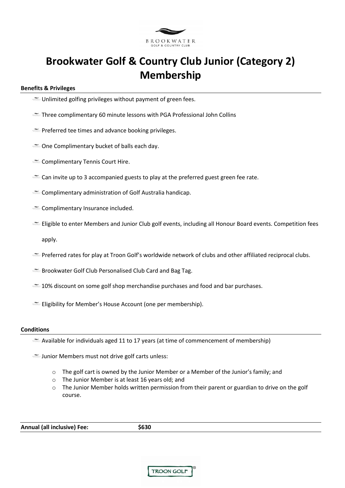

# **Brookwater Golf & Country Club Junior (Category 2) Membership**

# **Benefits & Privileges**

- $\cong$  Unlimited golfing privileges without payment of green fees.
- Three complimentary 60 minute lessons with PGA Professional John Collins
- Preferred tee times and advance booking privileges.
- One Complimentary bucket of balls each day.
- Complimentary Tennis Court Hire.
- Can invite up to 3 accompanied guests to play at the preferred guest green fee rate.
- Complimentary administration of Golf Australia handicap.
- Complimentary Insurance included.
- Eligible to enter Members and Junior Club golf events, including all Honour Board events. Competition fees apply.
- Preferred rates for play at Troon Golf's worldwide network of clubs and other affiliated reciprocal clubs.
- **Brookwater Golf Club Personalised Club Card and Bag Tag.**
- $\approx$  10% discount on some golf shop merchandise purchases and food and bar purchases.
- Eligibility for Member's House Account (one per membership).

#### **Conditions**

- $\cong$  Available for individuals aged 11 to 17 years (at time of commencement of membership)
- **Junior Members must not drive golf carts unless:** 
	- $\circ$  The golf cart is owned by the Junior Member or a Member of the Junior's family; and
	- o The Junior Member is at least 16 years old; and
	- $\circ$  The Junior Member holds written permission from their parent or guardian to drive on the golf course.

| <b>Annual (all inclusive) Fee:</b> | \$630 |
|------------------------------------|-------|
|                                    |       |

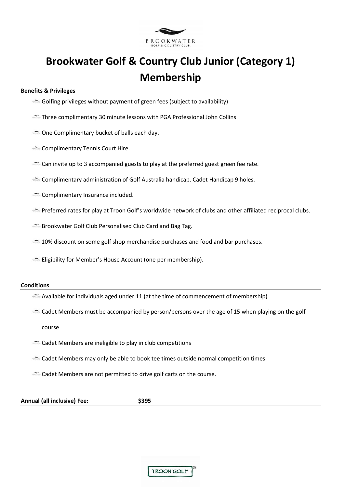

# **Brookwater Golf & Country Club Junior (Category 1) Membership**

# **Benefits & Privileges**

- Golfing privileges without payment of green fees (subject to availability)
- Three complimentary 30 minute lessons with PGA Professional John Collins
- One Complimentary bucket of balls each day.
- Complimentary Tennis Court Hire.
- $\cong$  Can invite up to 3 accompanied guests to play at the preferred guest green fee rate.
- Complimentary administration of Golf Australia handicap. Cadet Handicap 9 holes.
- Complimentary Insurance included.
- Preferred rates for play at Troon Golf's worldwide network of clubs and other affiliated reciprocal clubs.
- Brookwater Golf Club Personalised Club Card and Bag Tag.
- $\approx$  10% discount on some golf shop merchandise purchases and food and bar purchases.
- Eligibility for Member's House Account (one per membership).

#### **Conditions**

- $\cong$  Available for individuals aged under 11 (at the time of commencement of membership)
- $\cong$  Cadet Members must be accompanied by person/persons over the age of 15 when playing on the golf

course

- Cadet Members are ineligible to play in club competitions
- Cadet Members may only be able to book tee times outside normal competition times
- E Cadet Members are not permitted to drive golf carts on the course.

**Annual (all inclusive) Fee: \$395**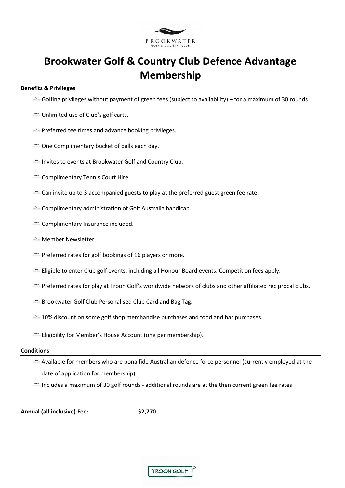

# **Brookwater Golf & Country Club Defence Advantage Membership**

# **Benefits & Privileges**

- $\cong$  Golfing privileges without payment of green fees (subject to availability) for a maximum of 30 rounds
- Unlimited use of Club's golf carts.
- Preferred tee times and advance booking privileges.
- One Complimentary bucket of balls each day.
- Invites to events at Brookwater Golf and Country Club.
- Complimentary Tennis Court Hire.
- Ecan invite up to 3 accompanied guests to play at the preferred guest green fee rate.
- Complimentary administration of Golf Australia handicap.
- Complimentary Insurance included.
- **Member Newsletter.**
- **Preferred rates for golf bookings of 16 players or more.**
- Eligible to enter Club golf events, including all Honour Board events. Competition fees apply.
- Preferred rates for play at Troon Golf's worldwide network of clubs and other affiliated reciprocal clubs.
- Brookwater Golf Club Personalised Club Card and Bag Tag.
- $\approx$  10% discount on some golf shop merchandise purchases and food and bar purchases.
- Eligibility for Member's House Account (one per membership).

#### **Conditions**

Available for members who are bona fide Australian defence force personnel (currently employed at the date of application for membership)

Includes a maximum of 30 golf rounds - additional rounds are at the then current green fee rates

**Annual (all inclusive) Fee: \$2,770** 

|  | <b>TROON GOLF</b> |
|--|-------------------|
|--|-------------------|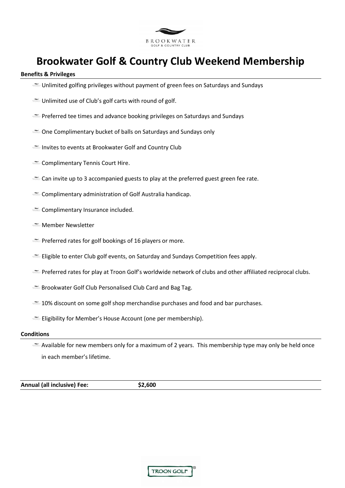

# **Brookwater Golf & Country Club Weekend Membership**

### **Benefits & Privileges**

- Unlimited golfing privileges without payment of green fees on Saturdays and Sundays
- Unlimited use of Club's golf carts with round of golf.
- Preferred tee times and advance booking privileges on Saturdays and Sundays
- One Complimentary bucket of balls on Saturdays and Sundays only
- Invites to events at Brookwater Golf and Country Club
- Complimentary Tennis Court Hire.
- Can invite up to 3 accompanied guests to play at the preferred guest green fee rate.
- Complimentary administration of Golf Australia handicap.
- Complimentary Insurance included.
- **Member Newsletter**
- Preferred rates for golf bookings of 16 players or more.
- Eligible to enter Club golf events, on Saturday and Sundays Competition fees apply.
- Preferred rates for play at Troon Golf's worldwide network of clubs and other affiliated reciprocal clubs.
- Brookwater Golf Club Personalised Club Card and Bag Tag.
- $\leq$  10% discount on some golf shop merchandise purchases and food and bar purchases.
- Eligibility for Member's House Account (one per membership).

#### **Conditions**

 $\cong$  Available for new members only for a maximum of 2 years. This membership type may only be held once in each member's lifetime.

**Annual (all inclusive) Fee: \$2,600** 

|  | <b>TROON GOLF</b> |  |  |
|--|-------------------|--|--|
|--|-------------------|--|--|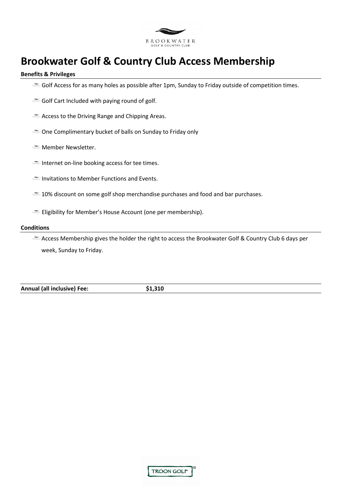

# **Brookwater Golf & Country Club Access Membership**

### **Benefits & Privileges**

- Golf Access for as many holes as possible after 1pm, Sunday to Friday outside of competition times.
- Golf Cart Included with paying round of golf.
- Access to the Driving Range and Chipping Areas.
- One Complimentary bucket of balls on Sunday to Friday only
- **Member Newsletter.**
- Internet on-line booking access for tee times.
- Invitations to Member Functions and Events.
- $\leq$  10% discount on some golf shop merchandise purchases and food and bar purchases.
- Eligibility for Member's House Account (one per membership).

### **Conditions**

Access Membership gives the holder the right to access the Brookwater Golf & Country Club 6 days per week, Sunday to Friday.

**Annual (all inclusive) Fee: \$1,310**

| <b>TROON GOLF</b> |  |  |
|-------------------|--|--|
|-------------------|--|--|